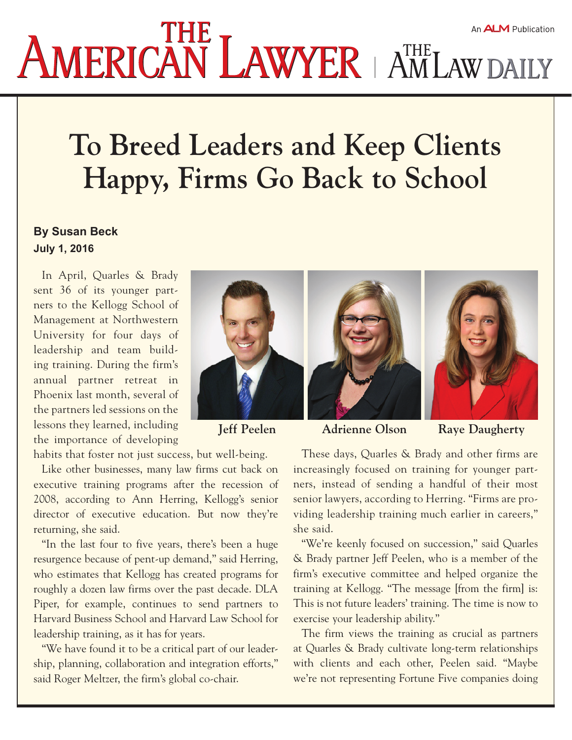## **AMERICAN LAWYER** AM LAW DAILY An ALM Publication

## **To Breed Leaders and Keep Clients Happy, Firms Go Back to School**

## **By [Susan Beck](file://srvfile02ny.nyc.amlaw.corp/production/TEMP/ATISH/2016/July/7-5-16/501-07-16-01%20Orrick/id=1202619714246/Susan-Beck) July 1, 2016**

In April, Quarles & Brady sent 36 of its younger partners to the Kellogg School of Management at Northwestern University for four days of leadership and team building training. During the firm's annual partner retreat in Phoenix last month, several of the partners led sessions on the lessons they learned, including the importance of developing







**Jeff Peelen Adrienne Olson Raye Daugherty**

These days, Quarles & Brady and other firms are increasingly focused on training for younger partners, instead of sending a handful of their most senior lawyers, according to Herring. "Firms are providing leadership training much earlier in careers," she said.

"We're keenly focused on succession," said Quarles & Brady partner Jeff Peelen, who is a member of the firm's executive committee and helped organize the training at Kellogg. "The message [from the firm] is: This is not future leaders' training. The time is now to exercise your leadership ability."

The firm views the training as crucial as partners at Quarles & Brady cultivate long-term relationships with clients and each other, Peelen said. "Maybe we're not representing Fortune Five companies doing

habits that foster not just success, but well-being.

Like other businesses, many law firms cut back on executive training programs after the recession of 2008, according to Ann Herring, Kellogg's senior director of executive education. But now they're returning, she said.

"In the last four to five years, there's been a huge resurgence because of pent-up demand," said Herring, who estimates that Kellogg has created programs for roughly a dozen law firms over the past decade. DLA Piper, for example, continues to send partners to Harvard Business School and Harvard Law School for leadership training, as it has for years.

"We have found it to be a critical part of our leadership, planning, collaboration and integration efforts," said Roger Meltzer, the firm's global co-chair.